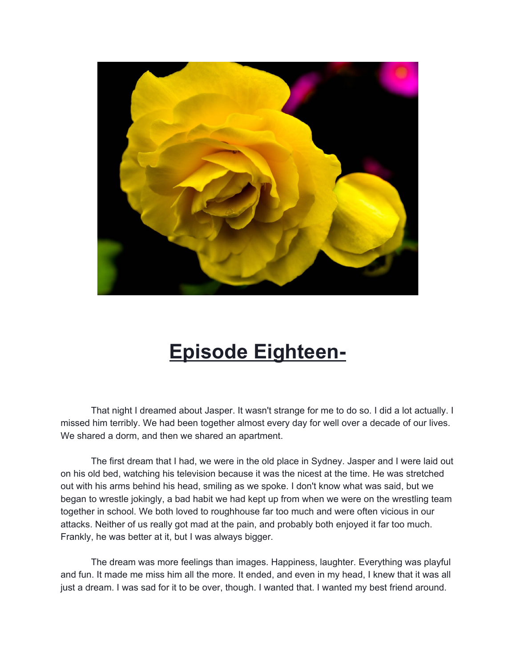

## **Episode Eighteen-**

That night I dreamed about Jasper. It wasn't strange for me to do so. I did a lot actually. I missed him terribly. We had been together almost every day for well over a decade of our lives. We shared a dorm, and then we shared an apartment.

The first dream that I had, we were in the old place in Sydney. Jasper and I were laid out on his old bed, watching his television because it was the nicest at the time. He was stretched out with his arms behind his head, smiling as we spoke. I don't know what was said, but we began to wrestle jokingly, a bad habit we had kept up from when we were on the wrestling team together in school. We both loved to roughhouse far too much and were often vicious in our attacks. Neither of us really got mad at the pain, and probably both enjoyed it far too much. Frankly, he was better at it, but I was always bigger.

The dream was more feelings than images. Happiness, laughter. Everything was playful and fun. It made me miss him all the more. It ended, and even in my head, I knew that it was all just a dream. I was sad for it to be over, though. I wanted that. I wanted my best friend around.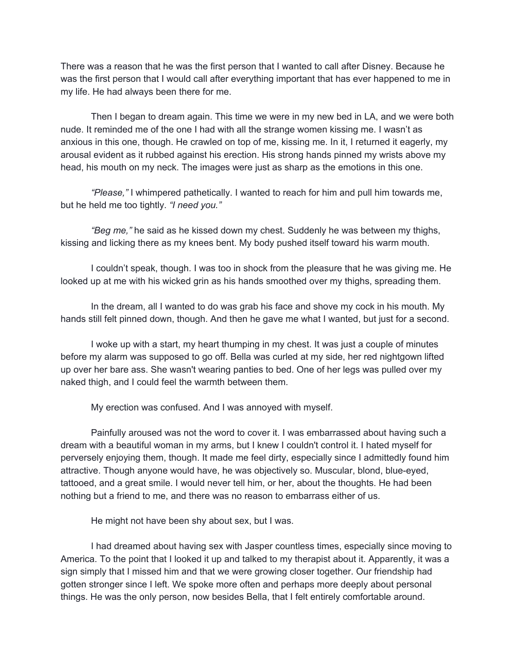There was a reason that he was the first person that I wanted to call after Disney. Because he was the first person that I would call after everything important that has ever happened to me in my life. He had always been there for me.

Then I began to dream again. This time we were in my new bed in LA, and we were both nude. It reminded me of the one I had with all the strange women kissing me. I wasn't as anxious in this one, though. He crawled on top of me, kissing me. In it, I returned it eagerly, my arousal evident as it rubbed against his erection. His strong hands pinned my wrists above my head, his mouth on my neck. The images were just as sharp as the emotions in this one.

*"Please,"* I whimpered pathetically. I wanted to reach for him and pull him towards me, but he held me too tightly. *"I need you."*

*"Beg me,"* he said as he kissed down my chest. Suddenly he was between my thighs, kissing and licking there as my knees bent. My body pushed itself toward his warm mouth.

I couldn't speak, though. I was too in shock from the pleasure that he was giving me. He looked up at me with his wicked grin as his hands smoothed over my thighs, spreading them.

In the dream, all I wanted to do was grab his face and shove my cock in his mouth. My hands still felt pinned down, though. And then he gave me what I wanted, but just for a second.

I woke up with a start, my heart thumping in my chest. It was just a couple of minutes before my alarm was supposed to go off. Bella was curled at my side, her red nightgown lifted up over her bare ass. She wasn't wearing panties to bed. One of her legs was pulled over my naked thigh, and I could feel the warmth between them.

My erection was confused. And I was annoyed with myself.

Painfully aroused was not the word to cover it. I was embarrassed about having such a dream with a beautiful woman in my arms, but I knew I couldn't control it. I hated myself for perversely enjoying them, though. It made me feel dirty, especially since I admittedly found him attractive. Though anyone would have, he was objectively so. Muscular, blond, blue-eyed, tattooed, and a great smile. I would never tell him, or her, about the thoughts. He had been nothing but a friend to me, and there was no reason to embarrass either of us.

He might not have been shy about sex, but I was.

I had dreamed about having sex with Jasper countless times, especially since moving to America. To the point that I looked it up and talked to my therapist about it. Apparently, it was a sign simply that I missed him and that we were growing closer together. Our friendship had gotten stronger since I left. We spoke more often and perhaps more deeply about personal things. He was the only person, now besides Bella, that I felt entirely comfortable around.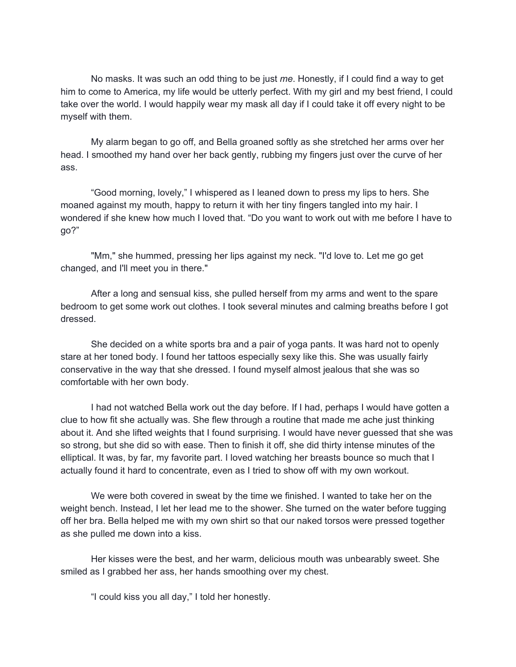No masks. It was such an odd thing to be just *me*. Honestly, if I could find a way to get him to come to America, my life would be utterly perfect. With my girl and my best friend, I could take over the world. I would happily wear my mask all day if I could take it off every night to be myself with them.

My alarm began to go off, and Bella groaned softly as she stretched her arms over her head. I smoothed my hand over her back gently, rubbing my fingers just over the curve of her ass.

"Good morning, lovely," I whispered as I leaned down to press my lips to hers. She moaned against my mouth, happy to return it with her tiny fingers tangled into my hair. I wondered if she knew how much I loved that. "Do you want to work out with me before I have to go?"

"Mm," she hummed, pressing her lips against my neck. "I'd love to. Let me go get changed, and I'll meet you in there."

After a long and sensual kiss, she pulled herself from my arms and went to the spare bedroom to get some work out clothes. I took several minutes and calming breaths before I got dressed.

She decided on a white sports bra and a pair of yoga pants. It was hard not to openly stare at her toned body. I found her tattoos especially sexy like this. She was usually fairly conservative in the way that she dressed. I found myself almost jealous that she was so comfortable with her own body.

I had not watched Bella work out the day before. If I had, perhaps I would have gotten a clue to how fit she actually was. She flew through a routine that made me ache just thinking about it. And she lifted weights that I found surprising. I would have never guessed that she was so strong, but she did so with ease. Then to finish it off, she did thirty intense minutes of the elliptical. It was, by far, my favorite part. I loved watching her breasts bounce so much that I actually found it hard to concentrate, even as I tried to show off with my own workout.

We were both covered in sweat by the time we finished. I wanted to take her on the weight bench. Instead, I let her lead me to the shower. She turned on the water before tugging off her bra. Bella helped me with my own shirt so that our naked torsos were pressed together as she pulled me down into a kiss.

Her kisses were the best, and her warm, delicious mouth was unbearably sweet. She smiled as I grabbed her ass, her hands smoothing over my chest.

"I could kiss you all day," I told her honestly.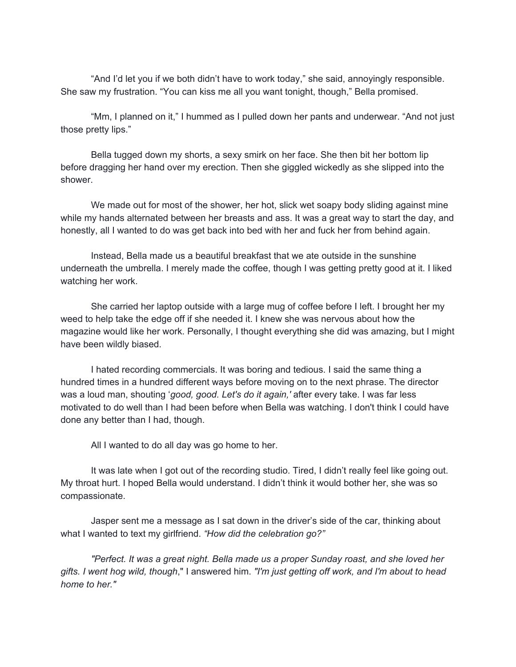"And I'd let you if we both didn't have to work today," she said, annoyingly responsible. She saw my frustration. "You can kiss me all you want tonight, though," Bella promised.

"Mm, I planned on it," I hummed as I pulled down her pants and underwear. "And not just those pretty lips."

Bella tugged down my shorts, a sexy smirk on her face. She then bit her bottom lip before dragging her hand over my erection. Then she giggled wickedly as she slipped into the shower.

We made out for most of the shower, her hot, slick wet soapy body sliding against mine while my hands alternated between her breasts and ass. It was a great way to start the day, and honestly, all I wanted to do was get back into bed with her and fuck her from behind again.

Instead, Bella made us a beautiful breakfast that we ate outside in the sunshine underneath the umbrella. I merely made the coffee, though I was getting pretty good at it. I liked watching her work.

She carried her laptop outside with a large mug of coffee before I left. I brought her my weed to help take the edge off if she needed it. I knew she was nervous about how the magazine would like her work. Personally, I thought everything she did was amazing, but I might have been wildly biased.

I hated recording commercials. It was boring and tedious. I said the same thing a hundred times in a hundred different ways before moving on to the next phrase. The director was a loud man, shouting '*good, good. Let's do it again,'* after every take. I was far less motivated to do well than I had been before when Bella was watching. I don't think I could have done any better than I had, though.

All I wanted to do all day was go home to her.

It was late when I got out of the recording studio. Tired, I didn't really feel like going out. My throat hurt. I hoped Bella would understand. I didn't think it would bother her, she was so compassionate.

Jasper sent me a message as I sat down in the driver's side of the car, thinking about what I wanted to text my girlfriend. *"How did the celebration go?"*

*"Perfect. It was a great night. Bella made us a proper Sunday roast, and she loved her gifts. I went hog wild, though*," I answered him. *"I'm just getting off work, and I'm about to head home to her."*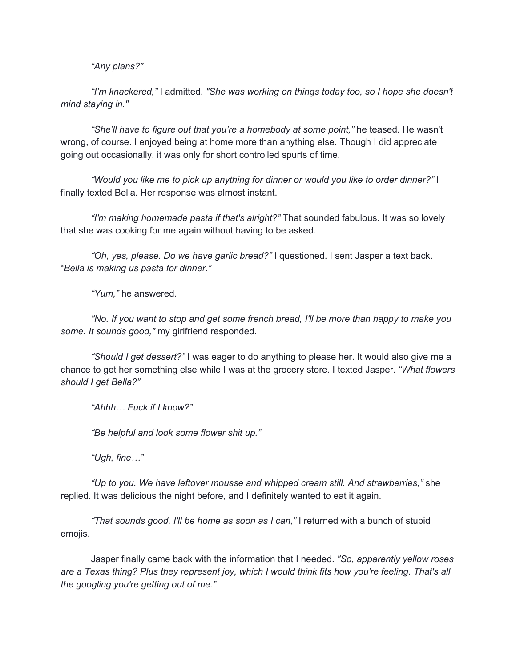*"Any plans?"*

*"I'm knackered,"* I admitted. *"She was working on things today too, so I hope she doesn't mind staying in."*

*"She'll have to figure out that you're a homebody at some point,"* he teased. He wasn't wrong, of course. I enjoyed being at home more than anything else. Though I did appreciate going out occasionally, it was only for short controlled spurts of time.

*"Would you like me to pick up anything for dinner or would you like to order dinner?"* I finally texted Bella. Her response was almost instant.

*"I'm making homemade pasta if that's alright?"* That sounded fabulous. It was so lovely that she was cooking for me again without having to be asked.

*"Oh, yes, please. Do we have garlic bread?"* I questioned. I sent Jasper a text back. "*Bella is making us pasta for dinner."*

*"Yum,"* he answered.

*"No. If you want to stop and get some french bread, I'll be more than happy to make you some. It sounds good,"* my girlfriend responded.

*"Should I get dessert?"* I was eager to do anything to please her. It would also give me a chance to get her something else while I was at the grocery store. I texted Jasper. *"What flowers should I get Bella?"*

*"Ahhh… Fuck if I know?"*

*"Be helpful and look some flower shit up."*

*"Ugh, fine…"*

*"Up to you. We have leftover mousse and whipped cream still. And strawberries,"* she replied. It was delicious the night before, and I definitely wanted to eat it again.

*"That sounds good. I'll be home as soon as I can,"* I returned with a bunch of stupid emojis.

Jasper finally came back with the information that I needed. *"So, apparently yellow roses* are a Texas thing? Plus they represent joy, which I would think fits how you're feeling. That's all *the googling you're getting out of me."*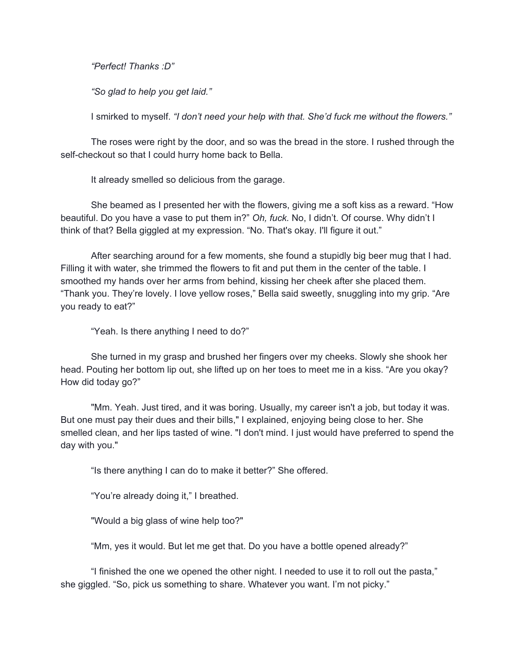*"Perfect! Thanks :D"*

*"So glad to help you get laid."*

I smirked to myself. *"I don't need your help with that. She'd fuck me without the flowers."*

The roses were right by the door, and so was the bread in the store. I rushed through the self-checkout so that I could hurry home back to Bella.

It already smelled so delicious from the garage.

She beamed as I presented her with the flowers, giving me a soft kiss as a reward. "How beautiful. Do you have a vase to put them in?" *Oh, fuck.* No, I didn't. Of course. Why didn't I think of that? Bella giggled at my expression. "No. That's okay. I'll figure it out."

After searching around for a few moments, she found a stupidly big beer mug that I had. Filling it with water, she trimmed the flowers to fit and put them in the center of the table. I smoothed my hands over her arms from behind, kissing her cheek after she placed them. "Thank you. They're lovely. I love yellow roses," Bella said sweetly, snuggling into my grip. "Are you ready to eat?"

"Yeah. Is there anything I need to do?"

She turned in my grasp and brushed her fingers over my cheeks. Slowly she shook her head. Pouting her bottom lip out, she lifted up on her toes to meet me in a kiss. "Are you okay? How did today go?"

"Mm. Yeah. Just tired, and it was boring. Usually, my career isn't a job, but today it was. But one must pay their dues and their bills," I explained, enjoying being close to her. She smelled clean, and her lips tasted of wine. "I don't mind. I just would have preferred to spend the day with you."

"Is there anything I can do to make it better?" She offered.

"You're already doing it," I breathed.

"Would a big glass of wine help too?"

"Mm, yes it would. But let me get that. Do you have a bottle opened already?"

"I finished the one we opened the other night. I needed to use it to roll out the pasta," she giggled. "So, pick us something to share. Whatever you want. I'm not picky."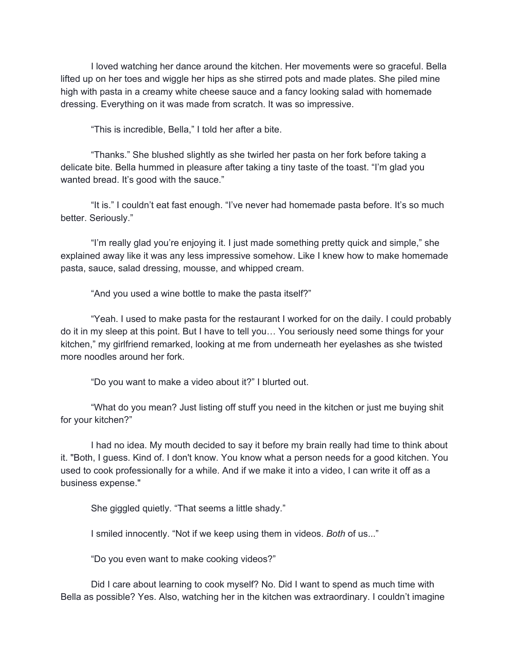I loved watching her dance around the kitchen. Her movements were so graceful. Bella lifted up on her toes and wiggle her hips as she stirred pots and made plates. She piled mine high with pasta in a creamy white cheese sauce and a fancy looking salad with homemade dressing. Everything on it was made from scratch. It was so impressive.

"This is incredible, Bella," I told her after a bite.

"Thanks." She blushed slightly as she twirled her pasta on her fork before taking a delicate bite. Bella hummed in pleasure after taking a tiny taste of the toast. "I'm glad you wanted bread. It's good with the sauce."

"It is." I couldn't eat fast enough. "I've never had homemade pasta before. It's so much better. Seriously."

"I'm really glad you're enjoying it. I just made something pretty quick and simple," she explained away like it was any less impressive somehow. Like I knew how to make homemade pasta, sauce, salad dressing, mousse, and whipped cream.

"And you used a wine bottle to make the pasta itself?"

"Yeah. I used to make pasta for the restaurant I worked for on the daily. I could probably do it in my sleep at this point. But I have to tell you… You seriously need some things for your kitchen," my girlfriend remarked, looking at me from underneath her eyelashes as she twisted more noodles around her fork.

"Do you want to make a video about it?" I blurted out.

"What do you mean? Just listing off stuff you need in the kitchen or just me buying shit for your kitchen?"

I had no idea. My mouth decided to say it before my brain really had time to think about it. "Both, I guess. Kind of. I don't know. You know what a person needs for a good kitchen. You used to cook professionally for a while. And if we make it into a video, I can write it off as a business expense."

She giggled quietly. "That seems a little shady."

I smiled innocently. "Not if we keep using them in videos. *Both* of us..."

"Do you even want to make cooking videos?"

Did I care about learning to cook myself? No. Did I want to spend as much time with Bella as possible? Yes. Also, watching her in the kitchen was extraordinary. I couldn't imagine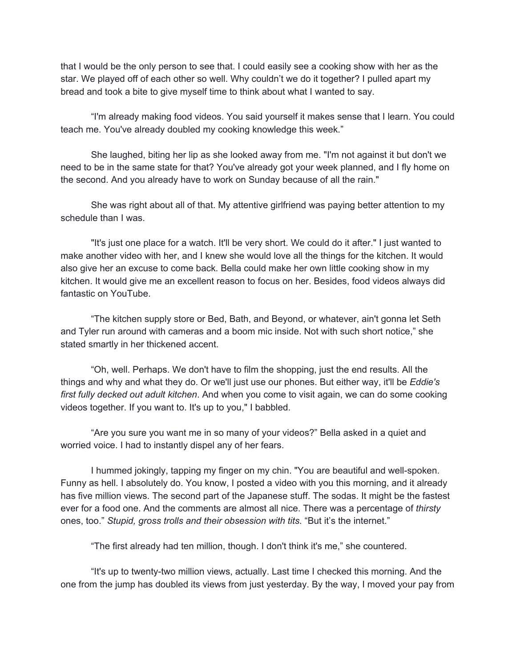that I would be the only person to see that. I could easily see a cooking show with her as the star. We played off of each other so well. Why couldn't we do it together? I pulled apart my bread and took a bite to give myself time to think about what I wanted to say.

"I'm already making food videos. You said yourself it makes sense that I learn. You could teach me. You've already doubled my cooking knowledge this week."

She laughed, biting her lip as she looked away from me. "I'm not against it but don't we need to be in the same state for that? You've already got your week planned, and I fly home on the second. And you already have to work on Sunday because of all the rain."

She was right about all of that. My attentive girlfriend was paying better attention to my schedule than I was.

"It's just one place for a watch. It'll be very short. We could do it after." I just wanted to make another video with her, and I knew she would love all the things for the kitchen. It would also give her an excuse to come back. Bella could make her own little cooking show in my kitchen. It would give me an excellent reason to focus on her. Besides, food videos always did fantastic on YouTube.

"The kitchen supply store or Bed, Bath, and Beyond, or whatever, ain't gonna let Seth and Tyler run around with cameras and a boom mic inside. Not with such short notice," she stated smartly in her thickened accent.

"Oh, well. Perhaps. We don't have to film the shopping, just the end results. All the things and why and what they do. Or we'll just use our phones. But either way, it'll be *Eddie's first fully decked out adult kitchen*. And when you come to visit again, we can do some cooking videos together. If you want to. It's up to you," I babbled.

"Are you sure you want me in so many of your videos?" Bella asked in a quiet and worried voice. I had to instantly dispel any of her fears.

I hummed jokingly, tapping my finger on my chin. "You are beautiful and well-spoken. Funny as hell. I absolutely do. You know, I posted a video with you this morning, and it already has five million views. The second part of the Japanese stuff. The sodas. It might be the fastest ever for a food one. And the comments are almost all nice. There was a percentage of *thirsty* ones, too." *Stupid, gross trolls and their obsession with tits.* "But it's the internet."

"The first already had ten million, though. I don't think it's me," she countered.

"It's up to twenty-two million views, actually. Last time I checked this morning. And the one from the jump has doubled its views from just yesterday. By the way, I moved your pay from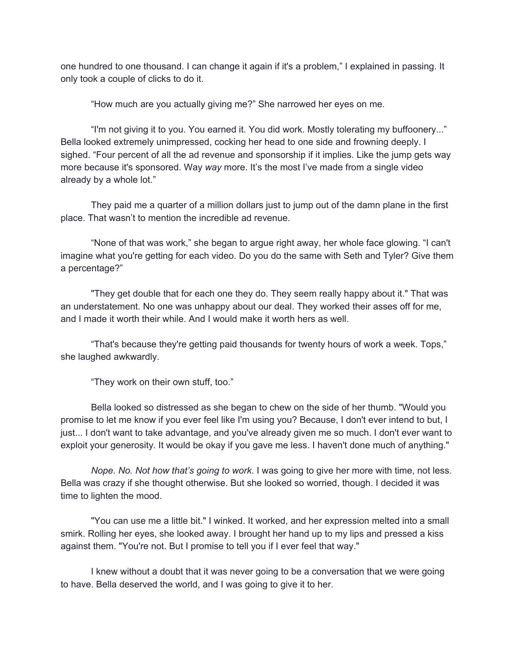one hundred to one thousand. I can change it again if it's a problem," I explained in passing. It only took a couple of clicks to do it.

"How much are you actually giving me?" She narrowed her eyes on me.

"I'm not giving it to you. You earned it. You did work. Mostly tolerating my buffoonery..." Bella looked extremely unimpressed, cocking her head to one side and frowning deeply. I sighed. "Four percent of all the ad revenue and sponsorship if it implies. Like the jump gets way more because it's sponsored. Way *way* more. It's the most I've made from a single video already by a whole lot."

They paid me a quarter of a million dollars just to jump out of the damn plane in the first place. That wasn't to mention the incredible ad revenue.

"None of that was work," she began to argue right away, her whole face glowing. "I can't imagine what you're getting for each video. Do you do the same with Seth and Tyler? Give them a percentage?"

"They get double that for each one they do. They seem really happy about it." That was an understatement. No one was unhappy about our deal. They worked their asses off for me, and I made it worth their while. And I would make it worth hers as well.

"That's because they're getting paid thousands for twenty hours of work a week. Tops," she laughed awkwardly.

"They work on their own stuff, too."

Bella looked so distressed as she began to chew on the side of her thumb. "Would you promise to let me know if you ever feel like I'm using you? Because, I don't ever intend to but, I just... I don't want to take advantage, and you've already given me so much. I don't ever want to exploit your generosity. It would be okay if you gave me less. I haven't done much of anything."

*Nope. No. Not how that's going to work*. I was going to give her more with time, not less. Bella was crazy if she thought otherwise. But she looked so worried, though. I decided it was time to lighten the mood.

"You can use me a little bit." I winked. It worked, and her expression melted into a small smirk. Rolling her eyes, she looked away. I brought her hand up to my lips and pressed a kiss against them. "You're not. But I promise to tell you if I ever feel that way."

I knew without a doubt that it was never going to be a conversation that we were going to have. Bella deserved the world, and I was going to give it to her.